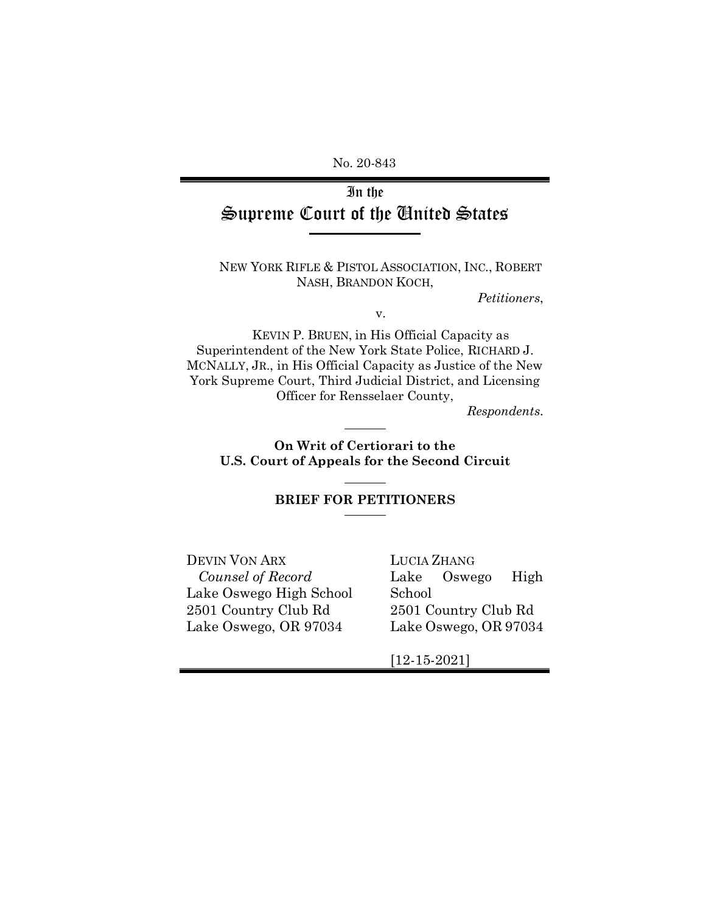No. 20-843

# In the Supreme Court of the United States

NEW YORK RIFLE & PISTOL ASSOCIATION, INC., ROBERT NASH, BRANDON KOCH,

*Petitioners*,

v.

KEVIN P. BRUEN, in His Official Capacity as Superintendent of the New York State Police, RICHARD J. MCNALLY, JR., in His Official Capacity as Justice of the New York Supreme Court, Third Judicial District, and Licensing Officer for Rensselaer County,

*Respondents*.

**On Writ of Certiorari to the U.S. Court of Appeals for the Second Circuit**

### **BRIEF FOR PETITIONERS**

DEVIN VON ARX *Counsel of Record* Lake Oswego High School 2501 Country Club Rd Lake Oswego, OR 97034

LUCIA ZHANG Lake Oswego High School 2501 Country Club Rd Lake Oswego, OR 97034

[12-15-2021]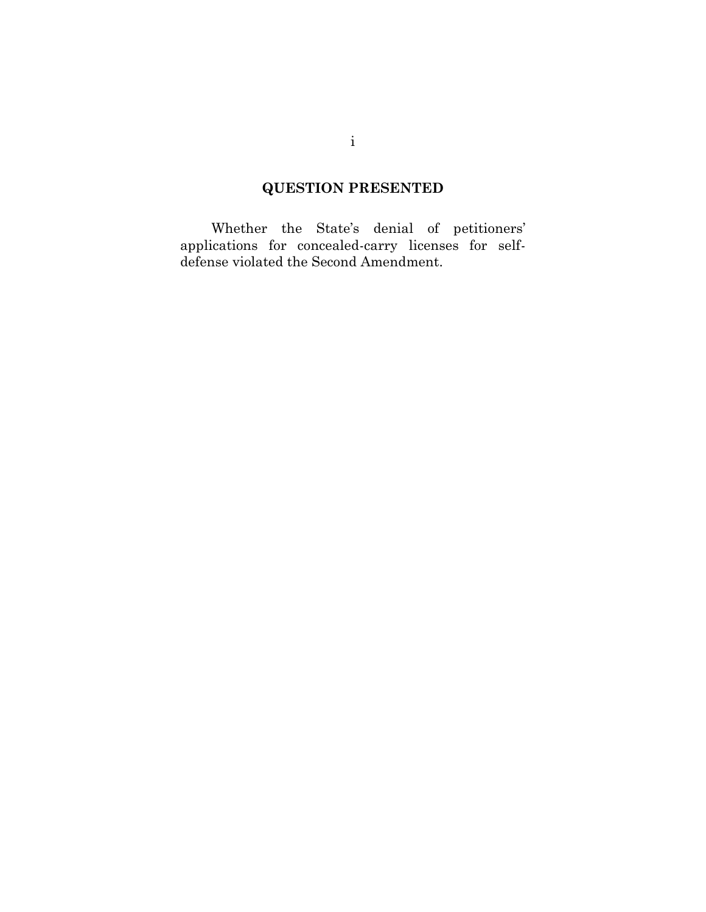# **QUESTION PRESENTED**

<span id="page-1-0"></span>Whether the State's denial of petitioners' applications for concealed-carry licenses for selfdefense violated the Second Amendment.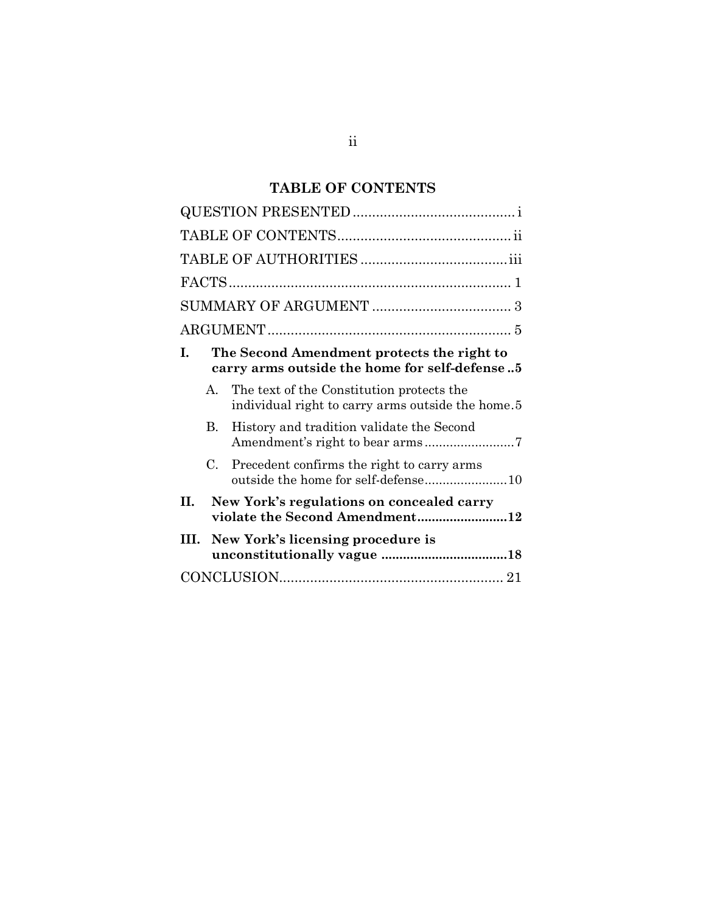# **TABLE OF CONTENTS**

<span id="page-2-0"></span>

| L.<br>The Second Amendment protects the right to<br>carry arms outside the home for self-defense5 |    |                                                                                                |  |  |  |
|---------------------------------------------------------------------------------------------------|----|------------------------------------------------------------------------------------------------|--|--|--|
|                                                                                                   | A. | The text of the Constitution protects the<br>individual right to carry arms outside the home.5 |  |  |  |
|                                                                                                   | B. | History and tradition validate the Second<br>Amendment's right to bear arms7                   |  |  |  |
|                                                                                                   | C. | Precedent confirms the right to carry arms                                                     |  |  |  |
| П.                                                                                                |    | New York's regulations on concealed carry<br>violate the Second Amendment12                    |  |  |  |
|                                                                                                   |    | III. New York's licensing procedure is                                                         |  |  |  |
|                                                                                                   |    |                                                                                                |  |  |  |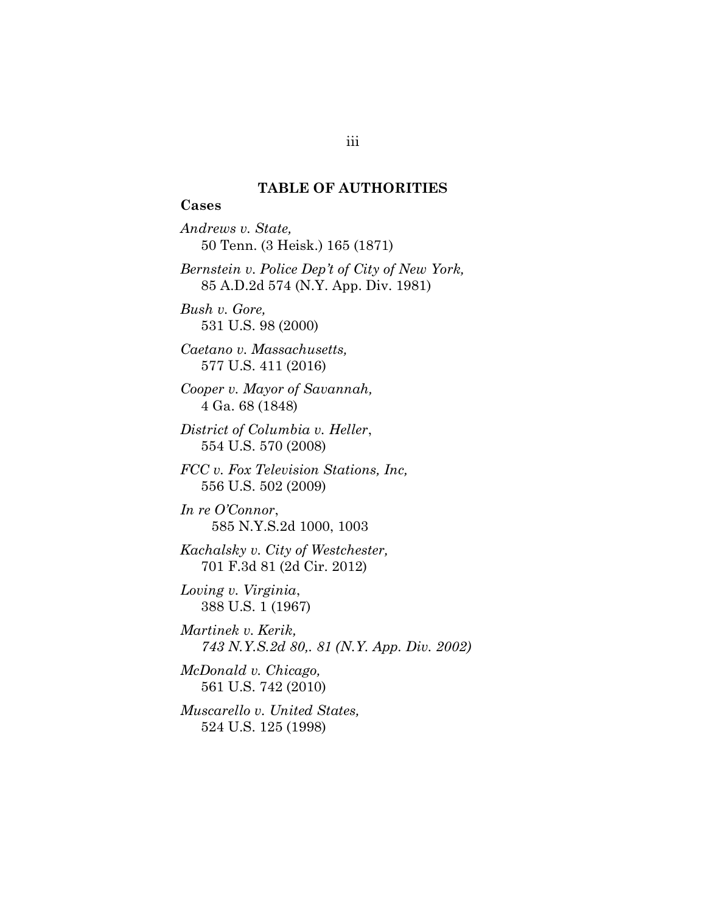### **TABLE OF AUTHORITIES**

### <span id="page-3-0"></span>**Cases**

*Andrews v. State,* 50 Tenn. (3 Heisk.) 165 (1871) *Bernstein v. Police Dep't of City of New York,* 85 A.D.2d 574 (N.Y. App. Div. 1981) *Bush v. Gore,* 531 U.S. 98 (2000) *Caetano v. Massachusetts,* 577 U.S. 411 (2016) *Cooper v. Mayor of Savannah,* 4 Ga. 68 (1848) *District of Columbia v. Heller*, 554 U.S. 570 (2008) *FCC v. Fox Television Stations, Inc,* 556 U.S. 502 (2009) *In re O'Connor*, 585 N.Y.S.2d 1000, 1003 *Kachalsky v. City of Westchester,* 701 F.3d 81 (2d Cir. 2012) *Loving v. Virginia*, 388 U.S. 1 (1967) *Martinek v. Kerik, 743 N.Y.S.2d 80,. 81 (N.Y. App. Div. 2002) McDonald v. Chicago,*

561 U.S. 742 (2010)

*Muscarello v. United States,* 524 U.S. 125 (1998)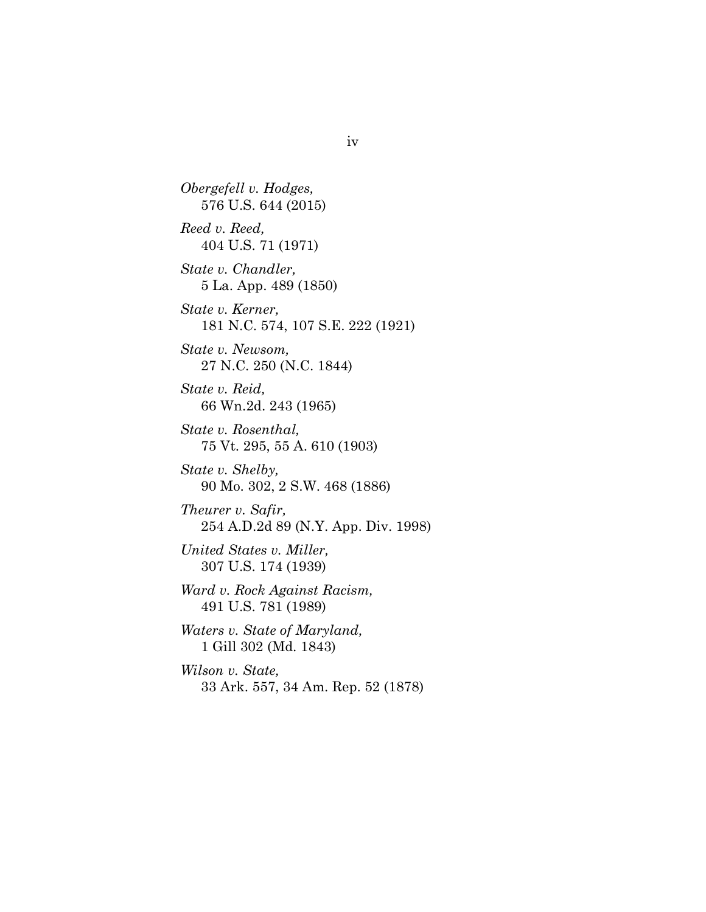*Obergefell v. Hodges,* 576 U.S. 644 (2015) *Reed v. Reed,* 404 U.S. 71 (1971) *State v. Chandler,* 5 La. App. 489 (1850) *State v. Kerner,* 181 N.C. 574, 107 S.E. 222 (1921) *State v. Newsom,* 27 N.C. 250 (N.C. 1844) *State v. Reid,* 66 Wn.2d. 243 (1965) *State v. Rosenthal,* 75 Vt. 295, 55 A. 610 (1903) *State v. Shelby,* 90 Mo. 302, 2 S.W. 468 (1886) *Theurer v. Safir,* 254 A.D.2d 89 (N.Y. App. Div. 1998) *United States v. Miller,* 307 U.S. 174 (1939) *Ward v. Rock Against Racism,* 491 U.S. 781 (1989) *Waters v. State of Maryland,* 1 Gill 302 (Md. 1843) *Wilson v. State,* 33 Ark. 557, 34 Am. Rep. 52 (1878)

iv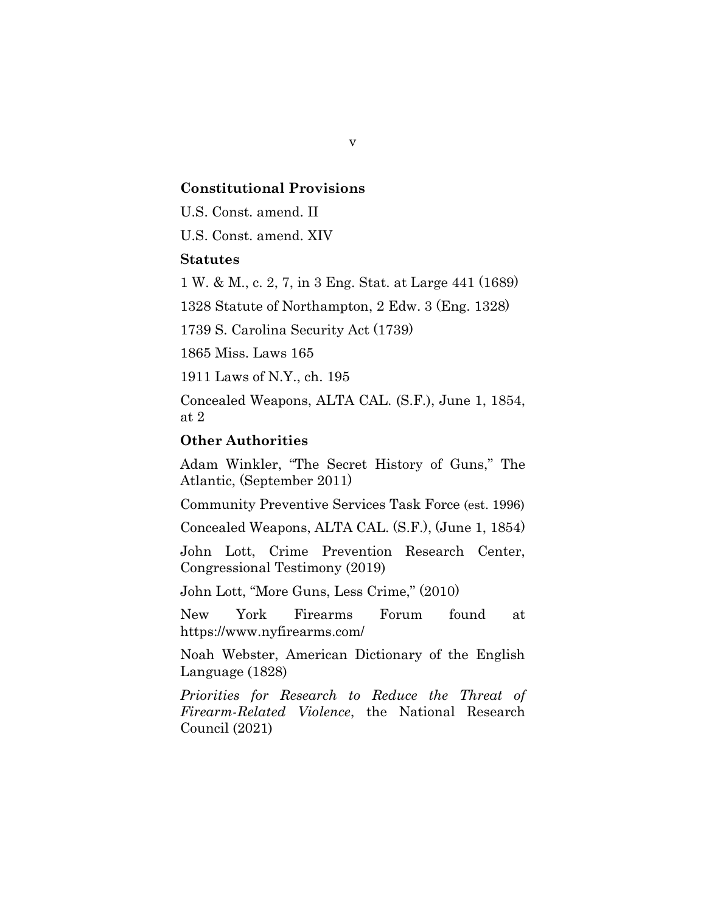#### **Constitutional Provisions**

U.S. Const. amend. II

U.S. Const. amend. XIV

#### **Statutes**

1 W. & M., c. 2, 7, in 3 Eng. Stat. at Large 441 (1689)

1328 Statute of Northampton, 2 Edw. 3 (Eng. 1328)

1739 S. Carolina Security Act (1739)

1865 Miss. Laws 165

1911 Laws of N.Y., ch. 195

Concealed Weapons, ALTA CAL. (S.F.), June 1, 1854, at 2

#### **Other Authorities**

Adam Winkler, "The Secret History of Guns," The Atlantic, (September 2011)

Community Preventive Services Task Force (est. 1996)

Concealed Weapons, ALTA CAL. (S.F.), (June 1, 1854)

John Lott, Crime Prevention Research Center, Congressional Testimony (2019)

John Lott, "More Guns, Less Crime," (2010)

New York Firearms Forum found at https://www.nyfirearms.com/

Noah Webster, American Dictionary of the English Language (1828)

*Priorities for Research to Reduce the Threat of Firearm-Related Violence*, the National Research Council (2021)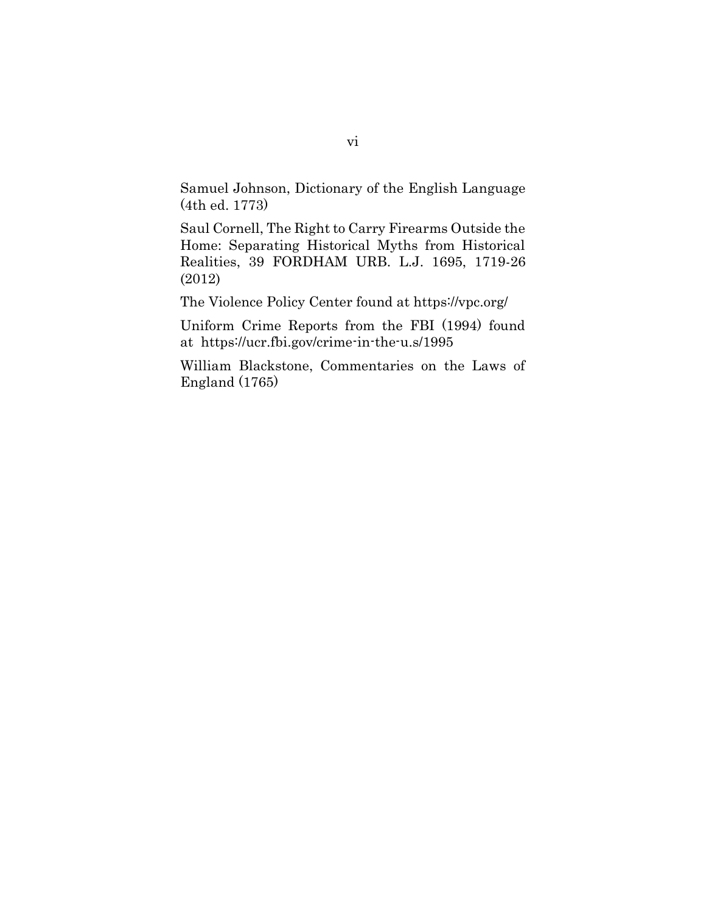Samuel Johnson, Dictionary of the English Language (4th ed. 1773)

Saul Cornell, The Right to Carry Firearms Outside the Home: Separating Historical Myths from Historical Realities, 39 FORDHAM URB. L.J. 1695, 1719-26 (2012)

The Violence Policy Center found at https://vpc.org/

Uniform Crime Reports from the FBI (1994) found at https://ucr.fbi.gov/crime-in-the-u.s/1995

William Blackstone, Commentaries on the Laws of England (1765)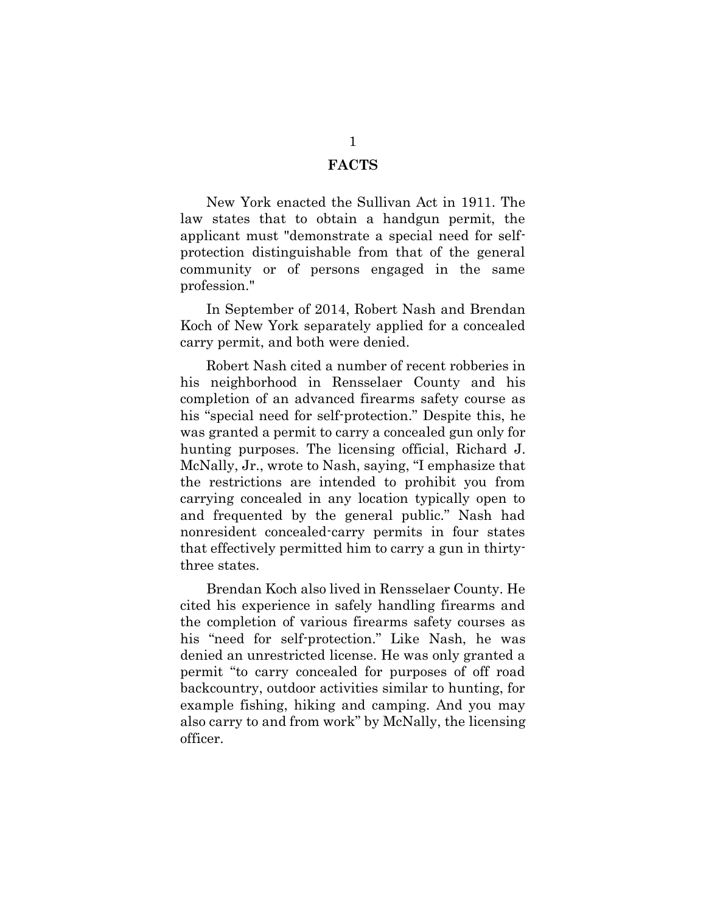#### **FACTS**

<span id="page-7-0"></span>New York enacted the Sullivan Act in 1911. The law states that to obtain a handgun permit, the applicant must "demonstrate a special need for selfprotection distinguishable from that of the general community or of persons engaged in the same profession."

In September of 2014, Robert Nash and Brendan Koch of New York separately applied for a concealed carry permit, and both were denied.

Robert Nash cited a number of recent robberies in his neighborhood in Rensselaer County and his completion of an advanced firearms safety course as his "special need for self-protection." Despite this, he was granted a permit to carry a concealed gun only for hunting purposes. The licensing official, Richard J. McNally, Jr., wrote to Nash, saying, "I emphasize that the restrictions are intended to prohibit you from carrying concealed in any location typically open to and frequented by the general public." Nash had nonresident concealed-carry permits in four states that effectively permitted him to carry a gun in thirtythree states.

Brendan Koch also lived in Rensselaer County. He cited his experience in safely handling firearms and the completion of various firearms safety courses as his "need for self-protection." Like Nash, he was denied an unrestricted license. He was only granted a permit "to carry concealed for purposes of off road backcountry, outdoor activities similar to hunting, for example fishing, hiking and camping. And you may also carry to and from work" by McNally, the licensing officer.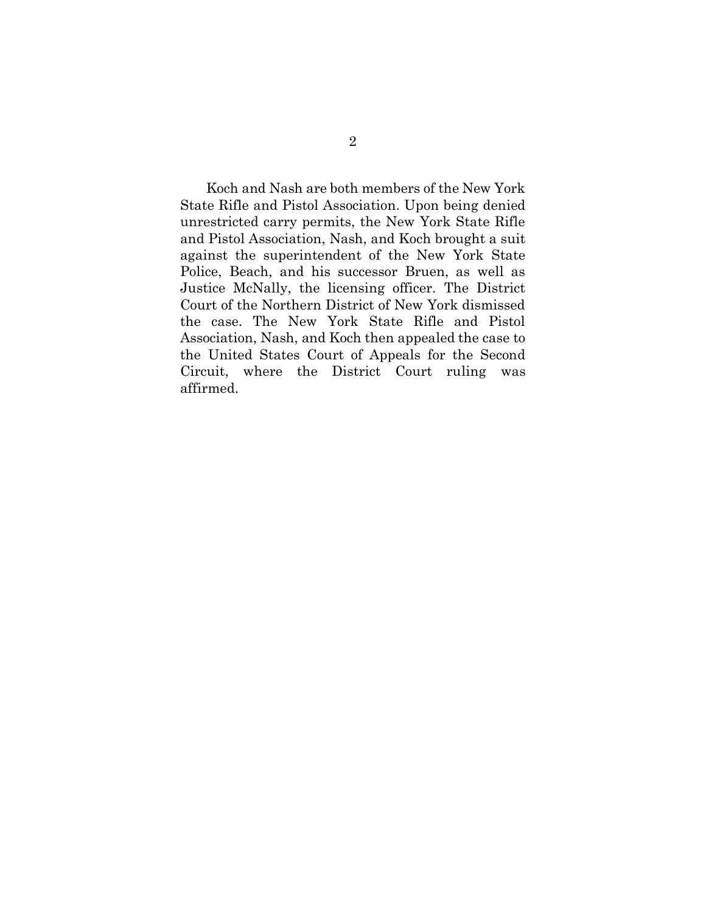Koch and Nash are both members of the New York State Rifle and Pistol Association. Upon being denied unrestricted carry permits, the New York State Rifle and Pistol Association, Nash, and Koch brought a suit against the superintendent of the New York State Police, Beach, and his successor Bruen, as well as Justice McNally, the licensing officer. The District Court of the Northern District of New York dismissed the case. The New York State Rifle and Pistol Association, Nash, and Koch then appealed the case to the United States Court of Appeals for the Second Circuit, where the District Court ruling was affirmed.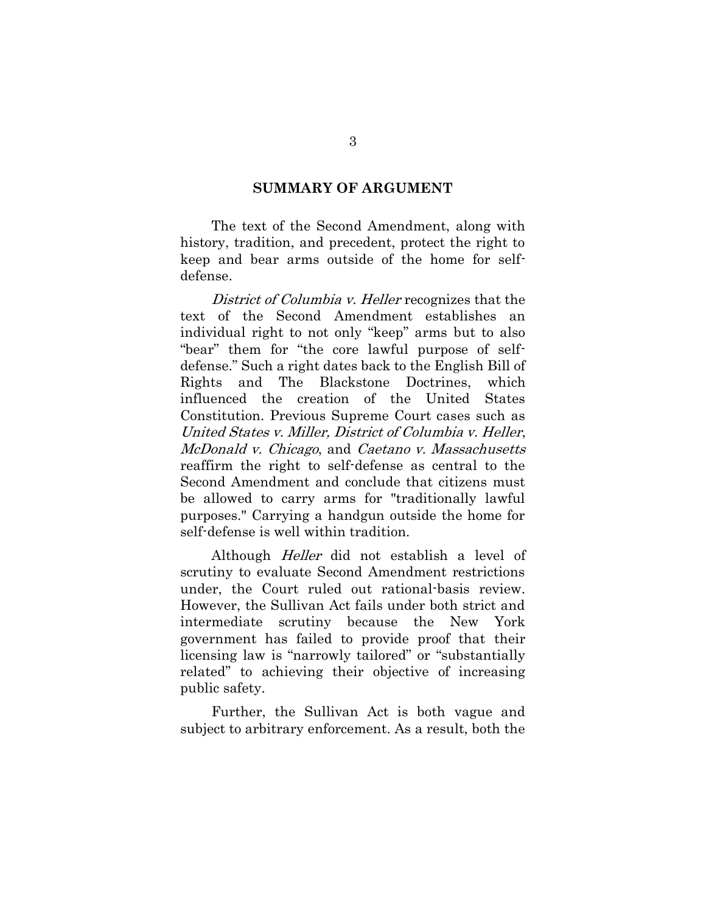#### **SUMMARY OF ARGUMENT**

<span id="page-9-0"></span>The text of the Second Amendment, along with history, tradition, and precedent, protect the right to keep and bear arms outside of the home for selfdefense.

District of Columbia v. Heller recognizes that the text of the Second Amendment establishes an individual right to not only "keep" arms but to also "bear" them for "the core lawful purpose of selfdefense." Such a right dates back to the English Bill of Rights and The Blackstone Doctrines, which influenced the creation of the United States Constitution. Previous Supreme Court cases such as United States v. Miller, District of Columbia v. Heller, McDonald v. Chicago, and Caetano v. Massachusetts reaffirm the right to self-defense as central to the Second Amendment and conclude that citizens must be allowed to carry arms for "traditionally lawful purposes." Carrying a handgun outside the home for self-defense is well within tradition.

Although Heller did not establish a level of scrutiny to evaluate Second Amendment restrictions under, the Court ruled out rational-basis review. However, the Sullivan Act fails under both strict and intermediate scrutiny because the New York government has failed to provide proof that their licensing law is "narrowly tailored" or "substantially related" to achieving their objective of increasing public safety.

Further, the Sullivan Act is both vague and subject to arbitrary enforcement. As a result, both the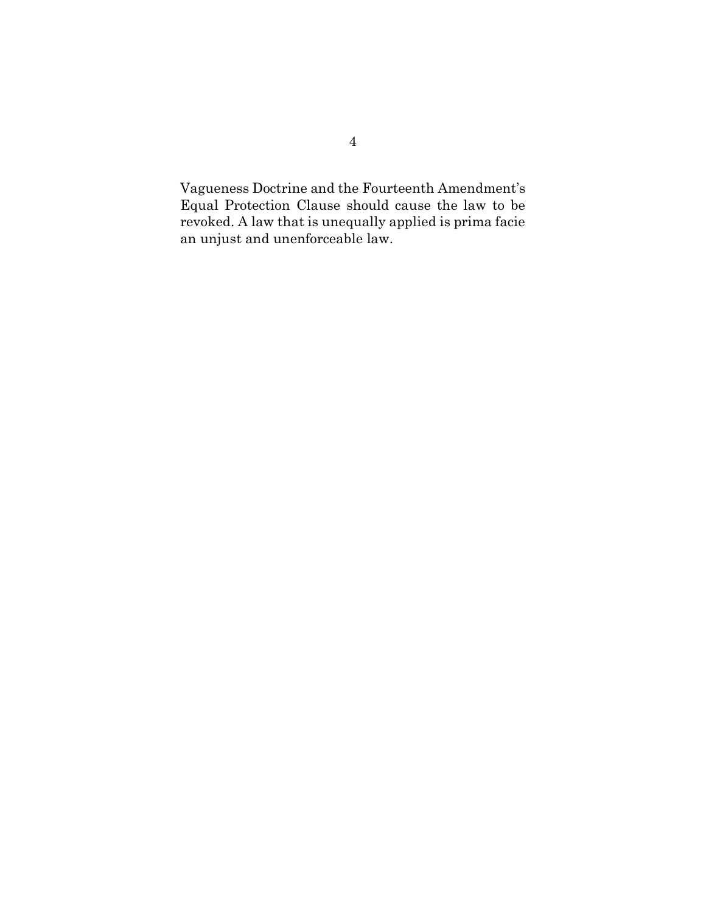Vagueness Doctrine and the Fourteenth Amendment's Equal Protection Clause should cause the law to be revoked. A law that is unequally applied is prima facie an unjust and unenforceable law.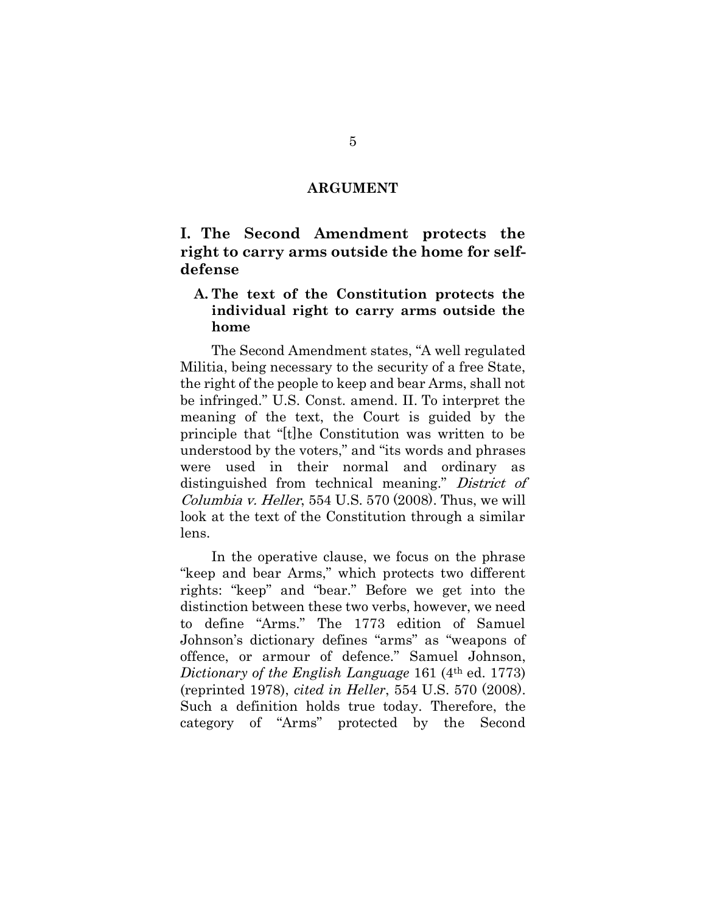#### **ARGUMENT**

## <span id="page-11-1"></span><span id="page-11-0"></span>**I. The Second Amendment protects the right to carry arms outside the home for selfdefense**

### <span id="page-11-2"></span>**A. The text of the Constitution protects the individual right to carry arms outside the home**

The Second Amendment states, "A well regulated Militia, being necessary to the security of a free State, the right of the people to keep and bear Arms, shall not be infringed." U.S. Const. amend. II. To interpret the meaning of the text, the Court is guided by the principle that "[t]he Constitution was written to be understood by the voters," and "its words and phrases were used in their normal and ordinary as distinguished from technical meaning." District of Columbia v. Heller, 554 U.S. 570 (2008). Thus, we will look at the text of the Constitution through a similar lens.

In the operative clause, we focus on the phrase "keep and bear Arms," which protects two different rights: "keep" and "bear." Before we get into the distinction between these two verbs, however, we need to define "Arms." The 1773 edition of Samuel Johnson's dictionary defines "arms" as "weapons of offence, or armour of defence." Samuel Johnson, *Dictionary of the English Language* 161 (4<sup>th</sup> ed. 1773) (reprinted 1978), *cited in Heller*, 554 U.S. 570 (2008). Such a definition holds true today. Therefore, the category of "Arms" protected by the Second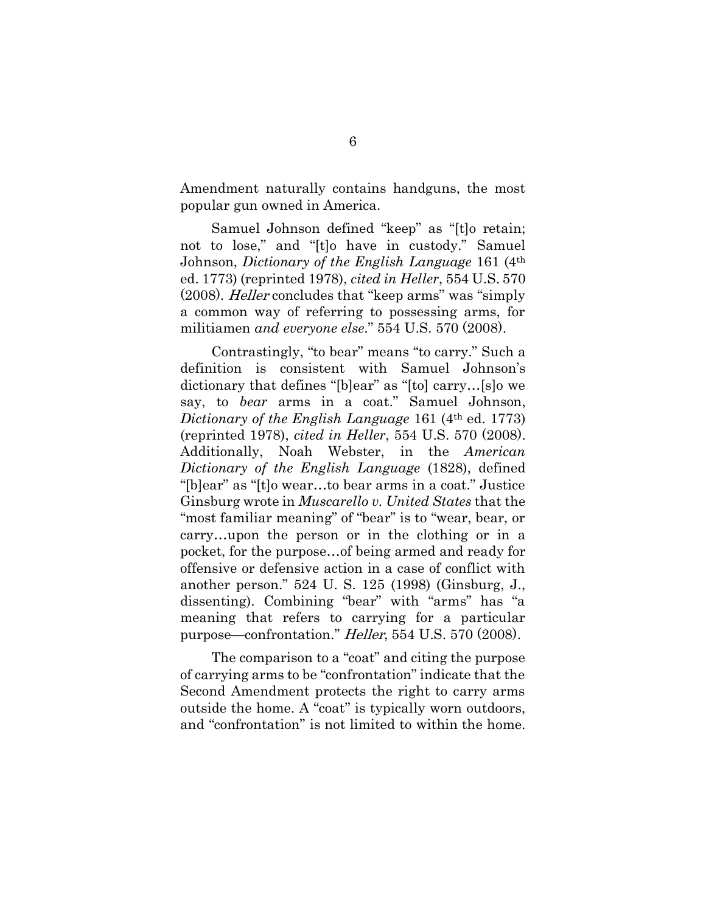Amendment naturally contains handguns, the most popular gun owned in America.

Samuel Johnson defined "keep" as "[t]o retain; not to lose," and "[t]o have in custody." Samuel Johnson, *Dictionary of the English Language* 161 (4th ed. 1773) (reprinted 1978), *cited in Heller*, 554 U.S. 570 (2008). Heller concludes that "keep arms" was "simply a common way of referring to possessing arms, for militiamen *and everyone else*." 554 U.S. 570 (2008).

Contrastingly, "to bear" means "to carry." Such a definition is consistent with Samuel Johnson's dictionary that defines "[b]ear" as "[to] carry…[s]o we say, to *bear* arms in a coat." Samuel Johnson, *Dictionary of the English Language* 161 (4th ed. 1773) (reprinted 1978), *cited in Heller*, 554 U.S. 570 (2008). Additionally, Noah Webster, in the *American Dictionary of the English Language* (1828), defined "[b]ear" as "[t]o wear…to bear arms in a coat." Justice Ginsburg wrote in *Muscarello v. United States* that the "most familiar meaning" of "bear" is to "wear, bear, or carry…upon the person or in the clothing or in a pocket, for the purpose…of being armed and ready for offensive or defensive action in a case of conflict with another person." 524 U. S. 125 (1998) (Ginsburg, J., dissenting). Combining "bear" with "arms" has "a meaning that refers to carrying for a particular purpose—confrontation." Heller, 554 U.S. 570 (2008).

The comparison to a "coat" and citing the purpose of carrying arms to be "confrontation" indicate that the Second Amendment protects the right to carry arms outside the home. A "coat" is typically worn outdoors, and "confrontation" is not limited to within the home.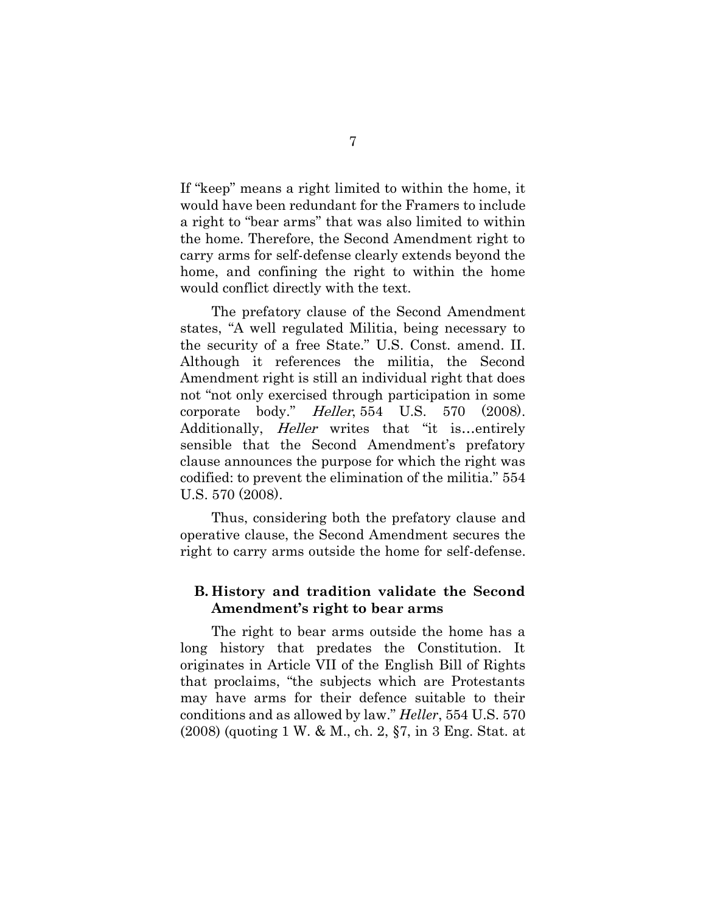If "keep" means a right limited to within the home, it would have been redundant for the Framers to include a right to "bear arms" that was also limited to within the home. Therefore, the Second Amendment right to carry arms for self-defense clearly extends beyond the home, and confining the right to within the home would conflict directly with the text.

The prefatory clause of the Second Amendment states, "A well regulated Militia, being necessary to the security of a free State." U.S. Const. amend. II. Although it references the militia, the Second Amendment right is still an individual right that does not "not only exercised through participation in some corporate body." Heller, 554 U.S. 570 (2008). Additionally, *Heller* writes that "it is...entirely sensible that the Second Amendment's prefatory clause announces the purpose for which the right was codified: to prevent the elimination of the militia." 554 U.S. 570 (2008).

Thus, considering both the prefatory clause and operative clause, the Second Amendment secures the right to carry arms outside the home for self-defense.

### <span id="page-13-0"></span>**B. History and tradition validate the Second Amendment's right to bear arms**

The right to bear arms outside the home has a long history that predates the Constitution. It originates in Article VII of the English Bill of Rights that proclaims, "the subjects which are Protestants may have arms for their defence suitable to their conditions and as allowed by law." *Heller*, 554 U.S. 570 (2008) (quoting 1 W. & M., ch. 2, §7, in 3 Eng. Stat. at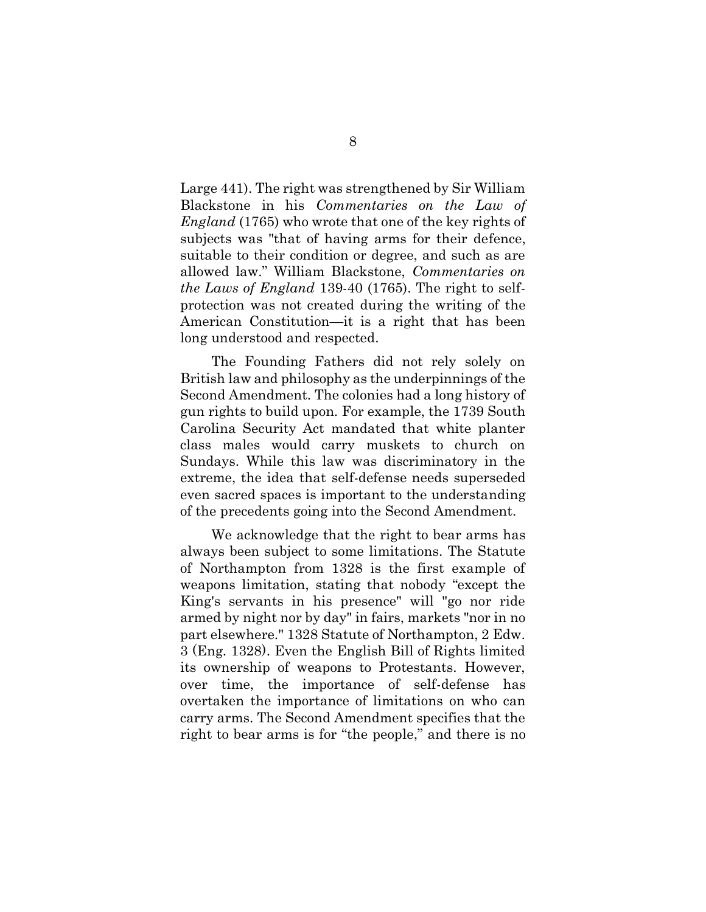Large 441). The right was strengthened by Sir William Blackstone in his *Commentaries on the Law of England* (1765) who wrote that one of the key rights of subjects was "that of having arms for their defence, suitable to their condition or degree, and such as are allowed law." William Blackstone, *Commentaries on the Laws of England* 139-40 (1765). The right to selfprotection was not created during the writing of the American Constitution—it is a right that has been long understood and respected.

The Founding Fathers did not rely solely on British law and philosophy as the underpinnings of the Second Amendment. The colonies had a long history of gun rights to build upon. For example, the 1739 South Carolina Security Act mandated that white planter class males would carry muskets to church on Sundays. While this law was discriminatory in the extreme, the idea that self-defense needs superseded even sacred spaces is important to the understanding of the precedents going into the Second Amendment.

We acknowledge that the right to bear arms has always been subject to some limitations. The Statute of Northampton from 1328 is the first example of weapons limitation, stating that nobody "except the King's servants in his presence" will "go nor ride armed by night nor by day" in fairs, markets "nor in no part elsewhere." 1328 Statute of Northampton, 2 Edw. 3 (Eng. 1328). Even the English Bill of Rights limited its ownership of weapons to Protestants. However, over time, the importance of self-defense has overtaken the importance of limitations on who can carry arms. The Second Amendment specifies that the right to bear arms is for "the people," and there is no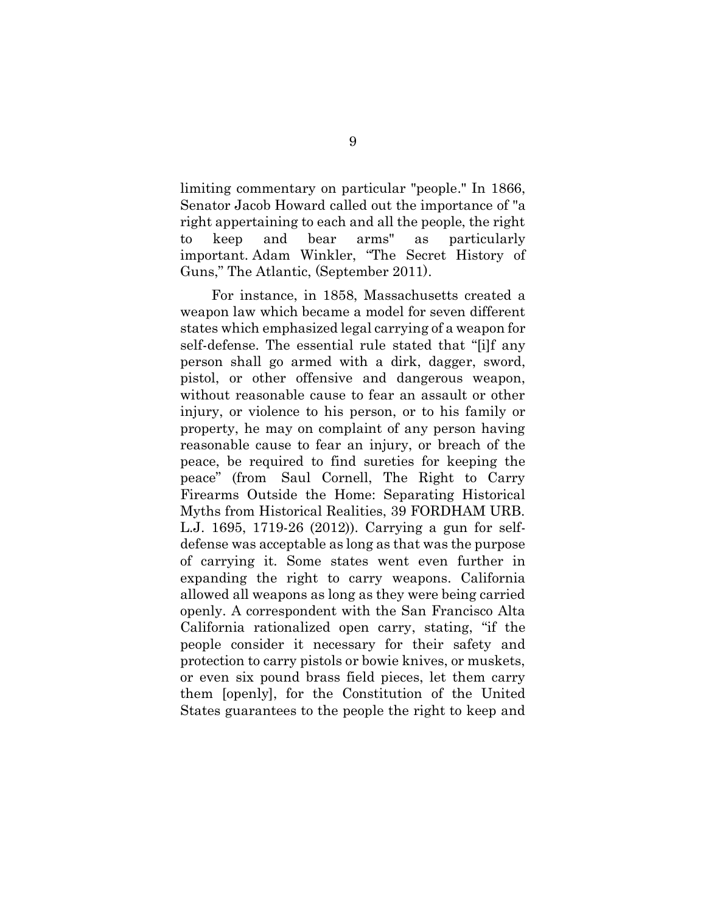limiting commentary on particular "people." In 1866, Senator Jacob Howard called out the importance of "a right appertaining to each and all the people, the right to keep and bear arms" as particularly important. Adam Winkler, "The Secret History of Guns," The Atlantic, (September 2011).

For instance, in 1858, Massachusetts created a weapon law which became a model for seven different states which emphasized legal carrying of a weapon for self-defense. The essential rule stated that "[i]f any person shall go armed with a dirk, dagger, sword, pistol, or other offensive and dangerous weapon, without reasonable cause to fear an assault or other injury, or violence to his person, or to his family or property, he may on complaint of any person having reasonable cause to fear an injury, or breach of the peace, be required to find sureties for keeping the peace" (from Saul Cornell, The Right to Carry Firearms Outside the Home: Separating Historical Myths from Historical Realities, 39 FORDHAM URB. L.J. 1695, 1719-26 (2012)). Carrying a gun for selfdefense was acceptable as long as that was the purpose of carrying it. Some states went even further in expanding the right to carry weapons. California allowed all weapons as long as they were being carried openly. A correspondent with the San Francisco Alta California rationalized open carry, stating, "if the people consider it necessary for their safety and protection to carry pistols or bowie knives, or muskets, or even six pound brass field pieces, let them carry them [openly], for the Constitution of the United States guarantees to the people the right to keep and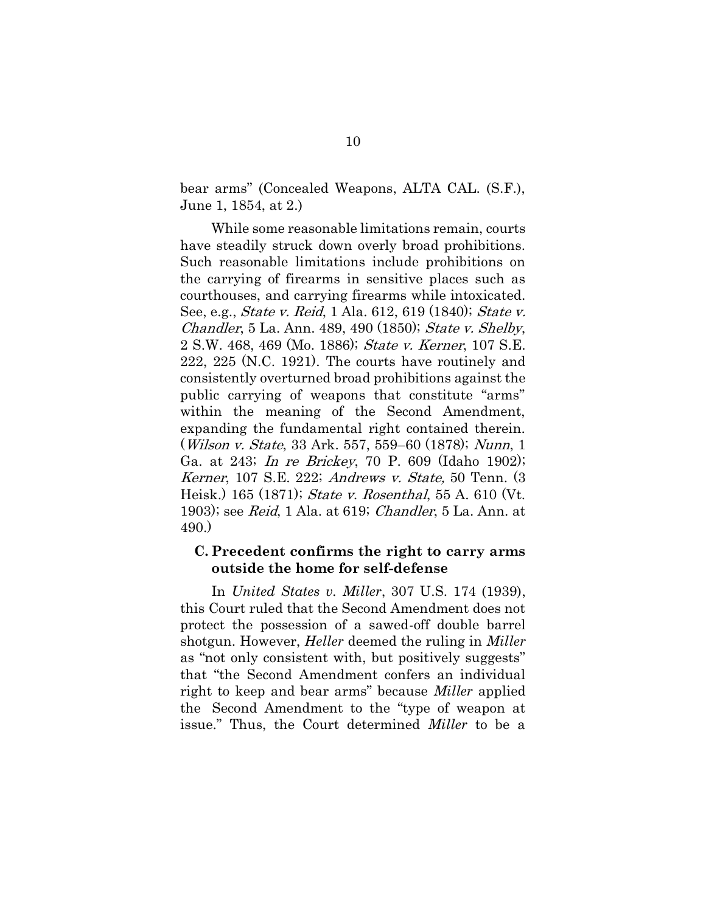bear arms" (Concealed Weapons, ALTA CAL. (S.F.), June 1, 1854, at 2.)

While some reasonable limitations remain, courts have steadily struck down overly broad prohibitions. Such reasonable limitations include prohibitions on the carrying of firearms in sensitive places such as courthouses, and carrying firearms while intoxicated. See, e.g., *State v. Reid*, 1 Ala. 612, 619 (1840); *State v.* Chandler, 5 La. Ann. 489, 490 (1850); State v. Shelby, 2 S.W. 468, 469 (Mo. 1886); State v. Kerner, 107 S.E. 222, 225 (N.C. 1921). The courts have routinely and consistently overturned broad prohibitions against the public carrying of weapons that constitute "arms" within the meaning of the Second Amendment, expanding the fundamental right contained therein. (Wilson v. State, 33 Ark. 557, 559–60 (1878); Nunn, 1 Ga. at 243; In re Brickey, 70 P. 609 (Idaho 1902); Kerner, 107 S.E. 222; Andrews v. State, 50 Tenn. (3 Heisk.) 165 (1871); State v. Rosenthal, 55 A. 610 (Vt. 1903); see Reid, 1 Ala. at 619; Chandler, 5 La. Ann. at 490.)

### <span id="page-16-0"></span>**C. Precedent confirms the right to carry arms outside the home for self-defense**

In *United States v. Miller*, 307 U.S. 174 (1939), this Court ruled that the Second Amendment does not protect the possession of a sawed-off double barrel shotgun. However, *Heller* deemed the ruling in *Miller* as "not only consistent with, but positively suggests" that "the Second Amendment confers an individual right to keep and bear arms" because *Miller* applied the Second Amendment to the "type of weapon at issue." Thus, the Court determined *Miller* to be a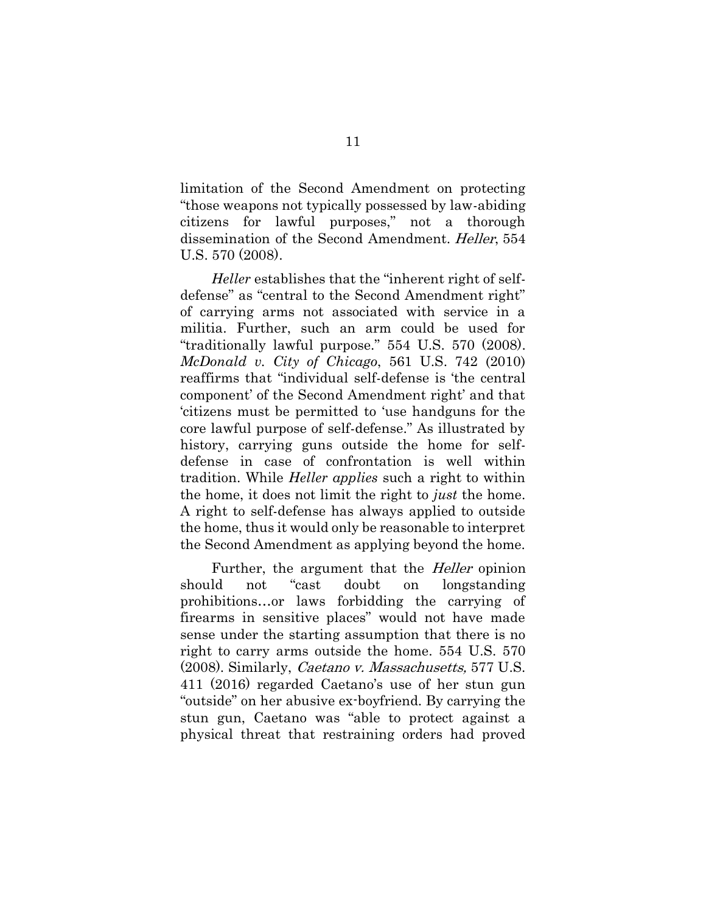limitation of the Second Amendment on protecting "those weapons not typically possessed by law-abiding citizens for lawful purposes," not a thorough dissemination of the Second Amendment. *Heller*, 554 U.S. 570 (2008).

*Heller* establishes that the "inherent right of selfdefense" as "central to the Second Amendment right" of carrying arms not associated with service in a militia. Further, such an arm could be used for "traditionally lawful purpose." 554 U.S. 570 (2008). *McDonald v. City of Chicago*, 561 U.S. 742 (2010) reaffirms that "individual self-defense is 'the central component' of the Second Amendment right' and that 'citizens must be permitted to 'use handguns for the core lawful purpose of self-defense." As illustrated by history, carrying guns outside the home for selfdefense in case of confrontation is well within tradition. While *Heller applies* such a right to within the home, it does not limit the right to *just* the home. A right to self-defense has always applied to outside the home, thus it would only be reasonable to interpret the Second Amendment as applying beyond the home.

Further, the argument that the *Heller* opinion should not "cast doubt on longstanding prohibitions…or laws forbidding the carrying of firearms in sensitive places" would not have made sense under the starting assumption that there is no right to carry arms outside the home. 554 U.S. 570 (2008). Similarly, Caetano v. Massachusetts, 577 U.S. 411 (2016) regarded Caetano's use of her stun gun "outside" on her abusive ex-boyfriend. By carrying the stun gun, Caetano was "able to protect against a physical threat that restraining orders had proved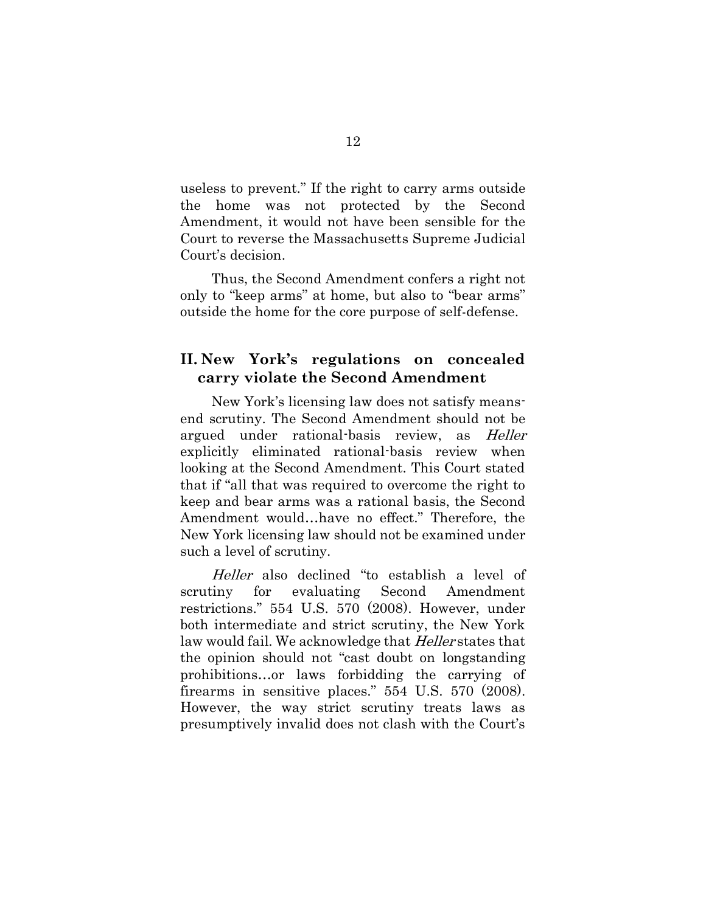useless to prevent." If the right to carry arms outside the home was not protected by the Second Amendment, it would not have been sensible for the Court to reverse the Massachusetts Supreme Judicial Court's decision.

Thus, the Second Amendment confers a right not only to "keep arms" at home, but also to "bear arms" outside the home for the core purpose of self-defense.

### <span id="page-18-0"></span>**II. New York's regulations on concealed carry violate the Second Amendment**

New York's licensing law does not satisfy meansend scrutiny. The Second Amendment should not be argued under rational-basis review, as Heller explicitly eliminated rational-basis review when looking at the Second Amendment. This Court stated that if "all that was required to overcome the right to keep and bear arms was a rational basis, the Second Amendment would…have no effect." Therefore, the New York licensing law should not be examined under such a level of scrutiny.

Heller also declined "to establish a level of scrutiny for evaluating Second Amendment restrictions." 554 U.S. 570 (2008). However, under both intermediate and strict scrutiny, the New York law would fail. We acknowledge that *Heller* states that the opinion should not "cast doubt on longstanding prohibitions…or laws forbidding the carrying of firearms in sensitive places." 554 U.S. 570 (2008). However, the way strict scrutiny treats laws as presumptively invalid does not clash with the Court's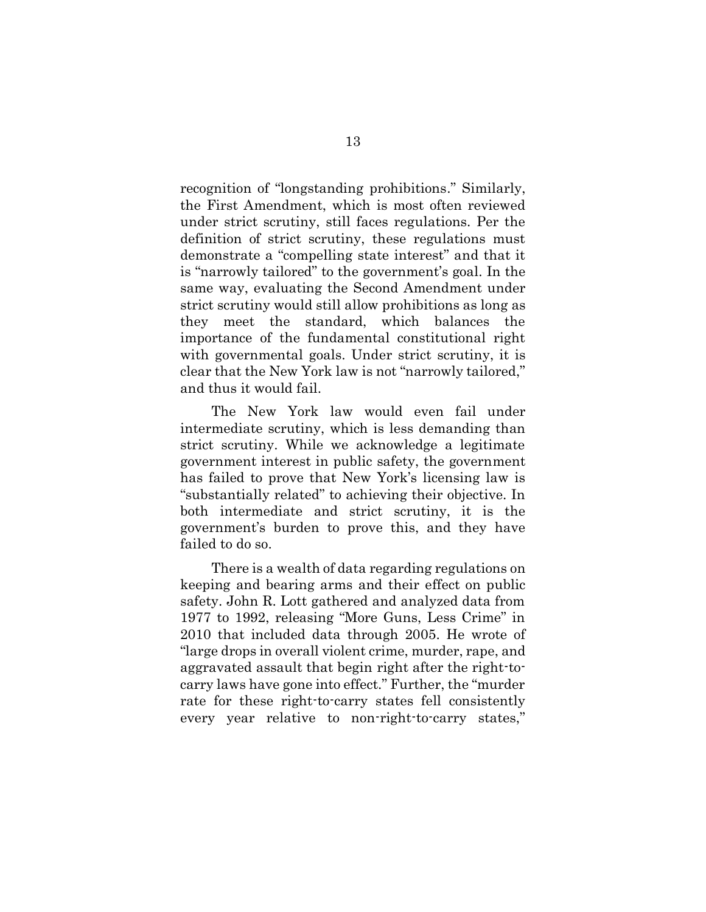recognition of "longstanding prohibitions." Similarly, the First Amendment, which is most often reviewed under strict scrutiny, still faces regulations. Per the definition of strict scrutiny, these regulations must demonstrate a "compelling state interest" and that it is "narrowly tailored" to the government's goal. In the same way, evaluating the Second Amendment under strict scrutiny would still allow prohibitions as long as they meet the standard, which balances the importance of the fundamental constitutional right with governmental goals. Under strict scrutiny, it is clear that the New York law is not "narrowly tailored," and thus it would fail.

The New York law would even fail under intermediate scrutiny, which is less demanding than strict scrutiny. While we acknowledge a legitimate government interest in public safety, the government has failed to prove that New York's licensing law is "substantially related" to achieving their objective. In both intermediate and strict scrutiny, it is the government's burden to prove this, and they have failed to do so.

There is a wealth of data regarding regulations on keeping and bearing arms and their effect on public safety. John R. Lott gathered and analyzed data from 1977 to 1992, releasing "More Guns, Less Crime" in 2010 that included data through 2005. He wrote of "large drops in overall violent crime, murder, rape, and aggravated assault that begin right after the right-tocarry laws have gone into effect." Further, the "murder rate for these right-to-carry states fell consistently every year relative to non-right-to-carry states,"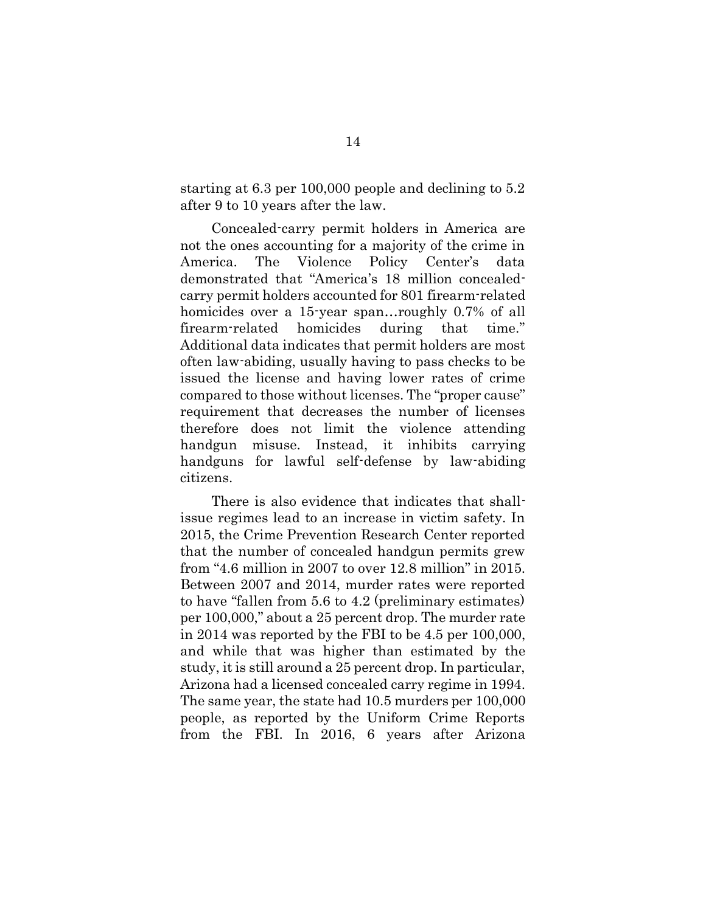starting at 6.3 per 100,000 people and declining to 5.2 after 9 to 10 years after the law.

Concealed-carry permit holders in America are not the ones accounting for a majority of the crime in America. The Violence Policy Center's data demonstrated that "America's 18 million concealedcarry permit holders accounted for 801 firearm-related homicides over a 15-year span...roughly 0.7% of all firearm-related homicides during that time." Additional data indicates that permit holders are most often law-abiding, usually having to pass checks to be issued the license and having lower rates of crime compared to those without licenses. The "proper cause" requirement that decreases the number of licenses therefore does not limit the violence attending handgun misuse. Instead, it inhibits carrying handguns for lawful self-defense by law-abiding citizens.

There is also evidence that indicates that shallissue regimes lead to an increase in victim safety. In 2015, the Crime Prevention Research Center reported that the number of concealed handgun permits grew from "4.6 million in 2007 to over 12.8 million" in 2015. Between 2007 and 2014, murder rates were reported to have "fallen from 5.6 to 4.2 (preliminary estimates) per 100,000," about a 25 percent drop. The murder rate in 2014 was reported by the FBI to be 4.5 per 100,000, and while that was higher than estimated by the study, it is still around a 25 percent drop. In particular, Arizona had a licensed concealed carry regime in 1994. The same year, the state had 10.5 murders per 100,000 people, as reported by the Uniform Crime Reports from the FBI. In 2016, 6 years after Arizona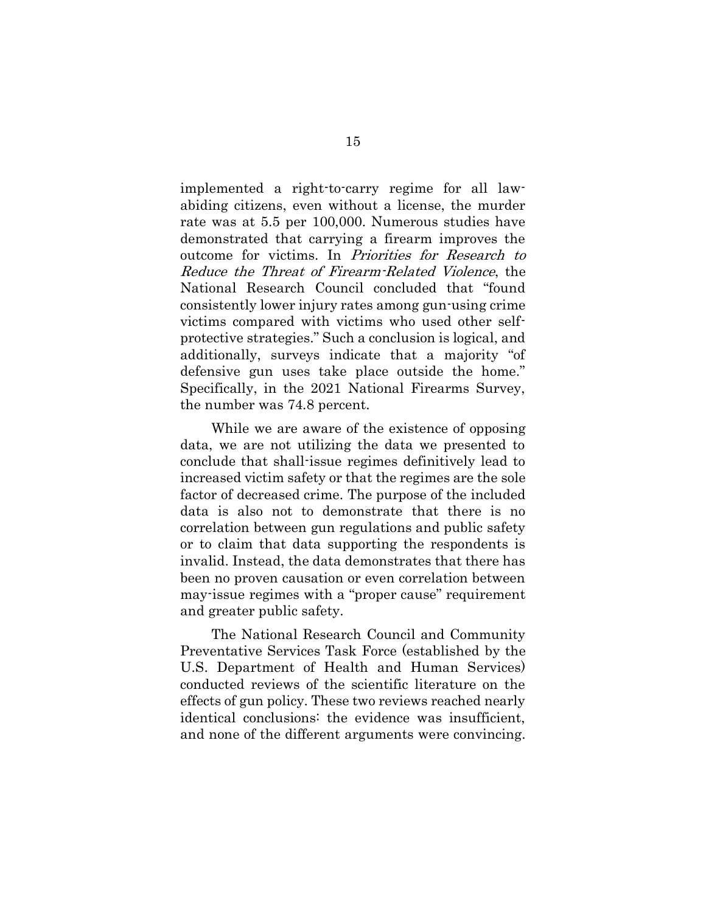implemented a right-to-carry regime for all lawabiding citizens, even without a license, the murder rate was at 5.5 per 100,000. Numerous studies have demonstrated that carrying a firearm improves the outcome for victims. In Priorities for Research to Reduce the Threat of Firearm-Related Violence, the National Research Council concluded that "found consistently lower injury rates among gun-using crime victims compared with victims who used other selfprotective strategies." Such a conclusion is logical, and additionally, surveys indicate that a majority "of defensive gun uses take place outside the home." Specifically, in the 2021 National Firearms Survey, the number was 74.8 percent.

While we are aware of the existence of opposing data, we are not utilizing the data we presented to conclude that shall-issue regimes definitively lead to increased victim safety or that the regimes are the sole factor of decreased crime. The purpose of the included data is also not to demonstrate that there is no correlation between gun regulations and public safety or to claim that data supporting the respondents is invalid. Instead, the data demonstrates that there has been no proven causation or even correlation between may-issue regimes with a "proper cause" requirement and greater public safety.

The National Research Council and Community Preventative Services Task Force (established by the U.S. Department of Health and Human Services) conducted reviews of the scientific literature on the effects of gun policy. These two reviews reached nearly identical conclusions: the evidence was insufficient, and none of the different arguments were convincing.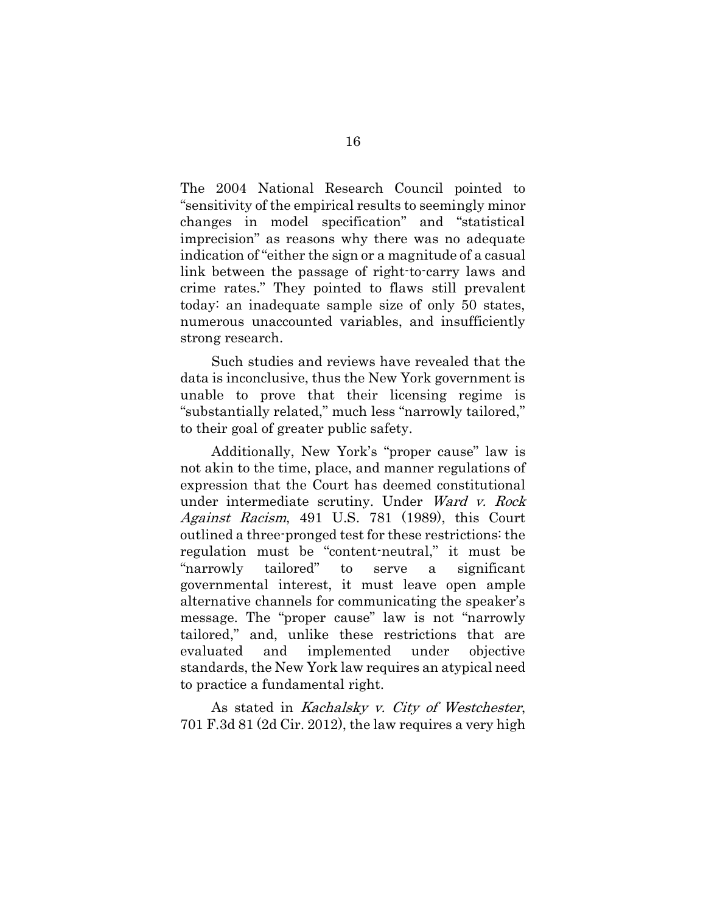The 2004 National Research Council pointed to "sensitivity of the empirical results to seemingly minor changes in model specification" and "statistical imprecision" as reasons why there was no adequate indication of "either the sign or a magnitude of a casual link between the passage of right-to-carry laws and crime rates." They pointed to flaws still prevalent today: an inadequate sample size of only 50 states, numerous unaccounted variables, and insufficiently strong research.

Such studies and reviews have revealed that the data is inconclusive, thus the New York government is unable to prove that their licensing regime is "substantially related," much less "narrowly tailored," to their goal of greater public safety.

Additionally, New York's "proper cause" law is not akin to the time, place, and manner regulations of expression that the Court has deemed constitutional under intermediate scrutiny. Under Ward v. Rock Against Racism, 491 U.S. 781 (1989), this Court outlined a three-pronged test for these restrictions: the regulation must be "content-neutral," it must be "narrowly tailored" to serve a significant governmental interest, it must leave open ample alternative channels for communicating the speaker's message. The "proper cause" law is not "narrowly tailored," and, unlike these restrictions that are evaluated and implemented under objective standards, the New York law requires an atypical need to practice a fundamental right.

As stated in Kachalsky v. City of Westchester, 701 F.3d 81 (2d Cir. 2012), the law requires a very high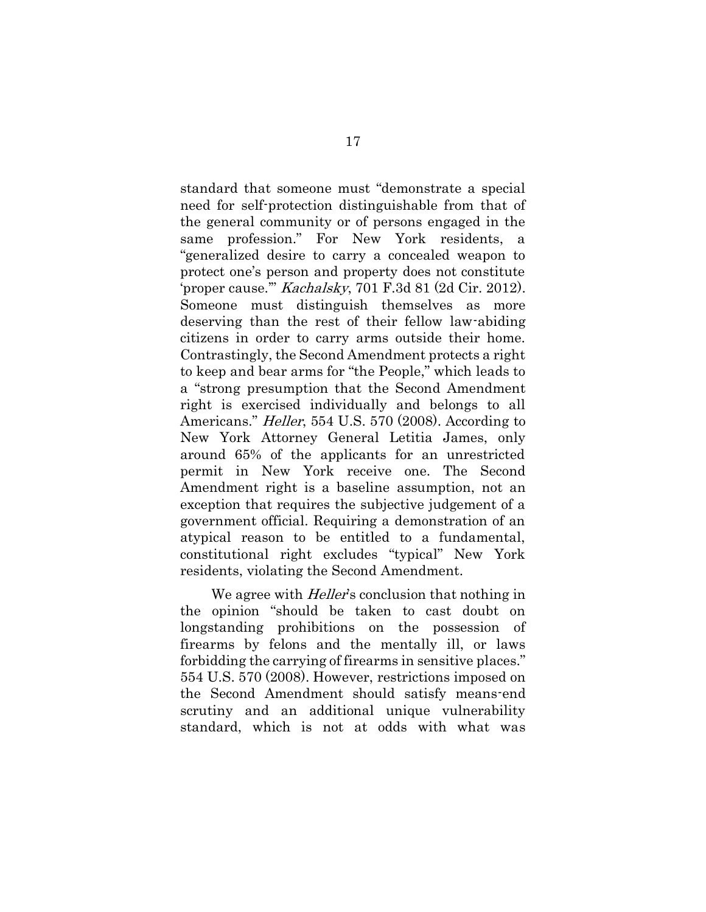standard that someone must "demonstrate a special need for self-protection distinguishable from that of the general community or of persons engaged in the same profession." For New York residents, a "generalized desire to carry a concealed weapon to protect one's person and property does not constitute 'proper cause.'" Kachalsky, 701 F.3d 81 (2d Cir. 2012). Someone must distinguish themselves as more deserving than the rest of their fellow law-abiding citizens in order to carry arms outside their home. Contrastingly, the Second Amendment protects a right to keep and bear arms for "the People," which leads to a "strong presumption that the Second Amendment right is exercised individually and belongs to all Americans." *Heller*, 554 U.S. 570 (2008). According to New York Attorney General Letitia James, only around 65% of the applicants for an unrestricted permit in New York receive one. The Second Amendment right is a baseline assumption, not an exception that requires the subjective judgement of a government official. Requiring a demonstration of an atypical reason to be entitled to a fundamental, constitutional right excludes "typical" New York residents, violating the Second Amendment.

We agree with *Heller's* conclusion that nothing in the opinion "should be taken to cast doubt on longstanding prohibitions on the possession of firearms by felons and the mentally ill, or laws forbidding the carrying of firearms in sensitive places." 554 U.S. 570 (2008). However, restrictions imposed on the Second Amendment should satisfy means-end scrutiny and an additional unique vulnerability standard, which is not at odds with what was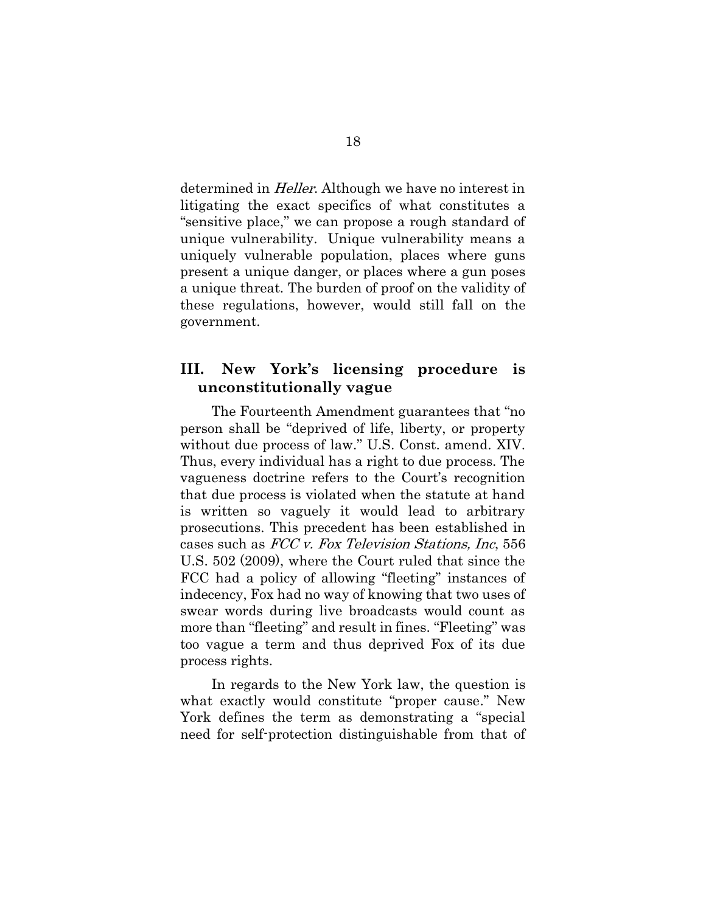determined in *Heller*. Although we have no interest in litigating the exact specifics of what constitutes a "sensitive place," we can propose a rough standard of unique vulnerability. Unique vulnerability means a uniquely vulnerable population, places where guns present a unique danger, or places where a gun poses a unique threat. The burden of proof on the validity of these regulations, however, would still fall on the government.

## <span id="page-24-0"></span>**III. New York's licensing procedure is unconstitutionally vague**

The Fourteenth Amendment guarantees that "no person shall be "deprived of life, liberty, or property without due process of law." U.S. Const. amend. XIV. Thus, every individual has a right to due process. The vagueness doctrine refers to the Court's recognition that due process is violated when the statute at hand is written so vaguely it would lead to arbitrary prosecutions. This precedent has been established in cases such as FCC v. Fox Television Stations, Inc, 556 U.S. 502 (2009), where the Court ruled that since the FCC had a policy of allowing "fleeting" instances of indecency, Fox had no way of knowing that two uses of swear words during live broadcasts would count as more than "fleeting" and result in fines. "Fleeting" was too vague a term and thus deprived Fox of its due process rights.

In regards to the New York law, the question is what exactly would constitute "proper cause." New York defines the term as demonstrating a "special need for self-protection distinguishable from that of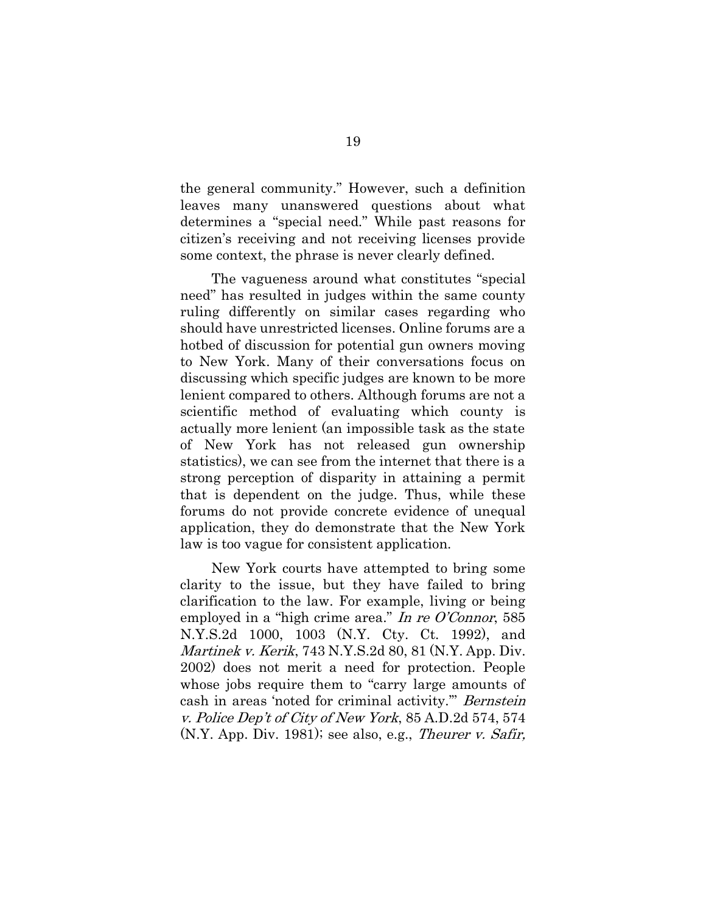the general community." However, such a definition leaves many unanswered questions about what determines a "special need." While past reasons for citizen's receiving and not receiving licenses provide some context, the phrase is never clearly defined.

The vagueness around what constitutes "special need" has resulted in judges within the same county ruling differently on similar cases regarding who should have unrestricted licenses. Online forums are a hotbed of discussion for potential gun owners moving to New York. Many of their conversations focus on discussing which specific judges are known to be more lenient compared to others. Although forums are not a scientific method of evaluating which county is actually more lenient (an impossible task as the state of New York has not released gun ownership statistics), we can see from the internet that there is a strong perception of disparity in attaining a permit that is dependent on the judge. Thus, while these forums do not provide concrete evidence of unequal application, they do demonstrate that the New York law is too vague for consistent application.

New York courts have attempted to bring some clarity to the issue, but they have failed to bring clarification to the law. For example, living or being employed in a "high crime area." In re O'Connor, 585 N.Y.S.2d 1000, 1003 (N.Y. Cty. Ct. 1992), and Martinek v. Kerik, 743 N.Y.S.2d 80, 81 (N.Y. App. Div. 2002) does not merit a need for protection. People whose jobs require them to "carry large amounts of cash in areas 'noted for criminal activity." Bernstein v. Police Dep't of City of New York, 85 A.D.2d 574, 574  $(N.Y.$  App. Div. 1981); see also, e.g., *Theurer v. Safir*,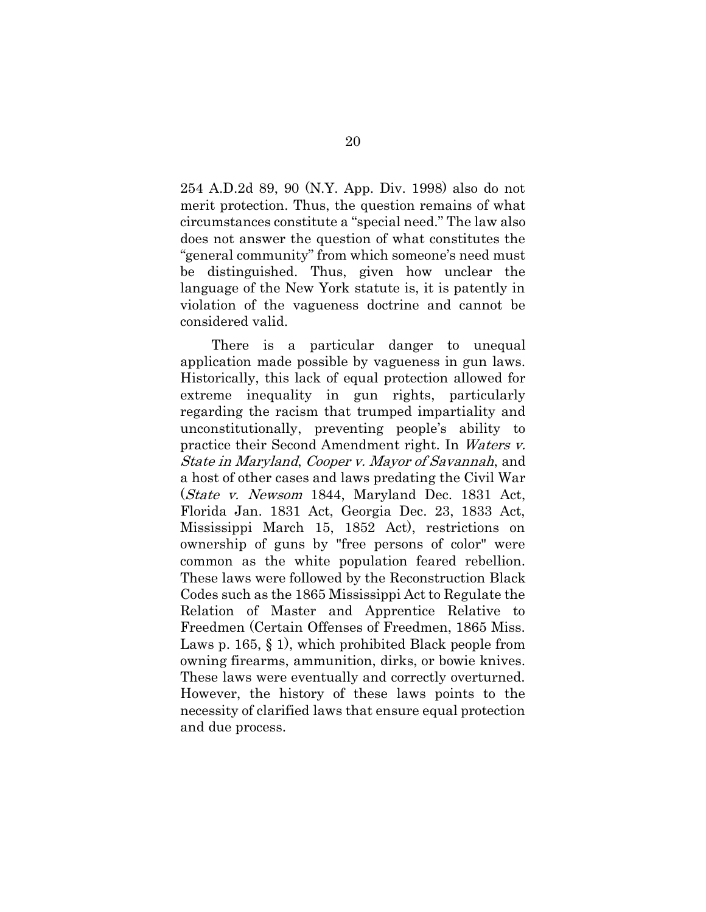254 A.D.2d 89, 90 (N.Y. App. Div. 1998) also do not merit protection. Thus, the question remains of what circumstances constitute a "special need." The law also does not answer the question of what constitutes the "general community" from which someone's need must be distinguished. Thus, given how unclear the language of the New York statute is, it is patently in violation of the vagueness doctrine and cannot be considered valid.

There is a particular danger to unequal application made possible by vagueness in gun laws. Historically, this lack of equal protection allowed for extreme inequality in gun rights, particularly regarding the racism that trumped impartiality and unconstitutionally, preventing people's ability to practice their Second Amendment right. In Waters v. State in Maryland, Cooper v. Mayor of Savannah, and a host of other cases and laws predating the Civil War (State v. Newsom 1844, Maryland Dec. 1831 Act, Florida Jan. 1831 Act, Georgia Dec. 23, 1833 Act, Mississippi March 15, 1852 Act), restrictions on ownership of guns by "free persons of color" were common as the white population feared rebellion. These laws were followed by the Reconstruction Black Codes such as the 1865 Mississippi Act to Regulate the Relation of Master and Apprentice Relative to Freedmen (Certain Offenses of Freedmen, 1865 Miss. Laws p. 165, § 1), which prohibited Black people from owning firearms, ammunition, dirks, or bowie knives. These laws were eventually and correctly overturned. However, the history of these laws points to the necessity of clarified laws that ensure equal protection and due process.